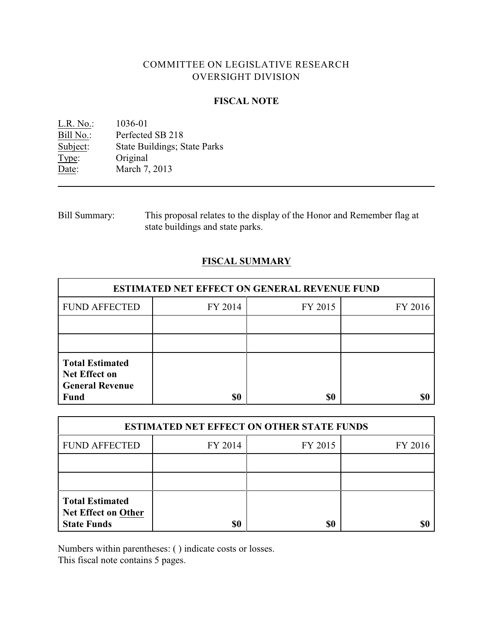# COMMITTEE ON LEGISLATIVE RESEARCH OVERSIGHT DIVISION

## **FISCAL NOTE**

<u>L.R. No.</u>: 1036-01<br>Bill No.: Perfected Bill No.: Perfected SB 218<br>Subject: State Buildings; S State Buildings; State Parks Type: Original Date: March 7, 2013

Bill Summary: This proposal relates to the display of the Honor and Remember flag at state buildings and state parks.

## **FISCAL SUMMARY**

| <b>ESTIMATED NET EFFECT ON GENERAL REVENUE FUND</b>                                     |         |         |         |  |
|-----------------------------------------------------------------------------------------|---------|---------|---------|--|
| <b>FUND AFFECTED</b>                                                                    | FY 2014 | FY 2015 | FY 2016 |  |
|                                                                                         |         |         |         |  |
|                                                                                         |         |         |         |  |
| <b>Total Estimated</b><br><b>Net Effect on</b><br><b>General Revenue</b><br><b>Fund</b> | \$0     | \$0     |         |  |

| <b>ESTIMATED NET EFFECT ON OTHER STATE FUNDS</b>                           |         |         |         |  |
|----------------------------------------------------------------------------|---------|---------|---------|--|
| <b>FUND AFFECTED</b>                                                       | FY 2014 | FY 2015 | FY 2016 |  |
|                                                                            |         |         |         |  |
|                                                                            |         |         |         |  |
| <b>Total Estimated</b><br><b>Net Effect on Other</b><br><b>State Funds</b> | \$0     | \$0     |         |  |

Numbers within parentheses: ( ) indicate costs or losses.

This fiscal note contains 5 pages.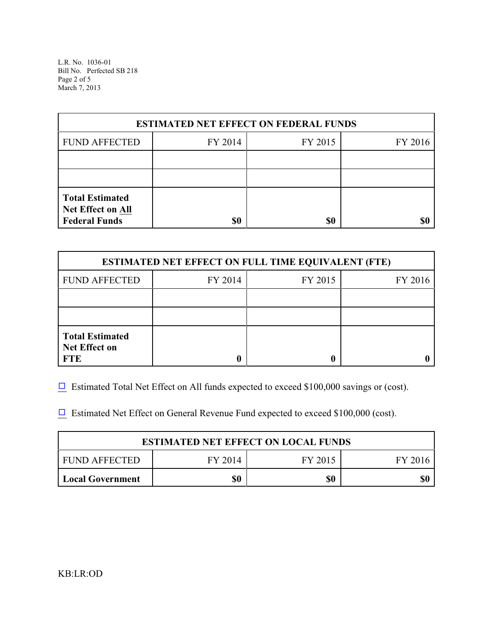L.R. No. 1036-01 Bill No. Perfected SB 218 Page 2 of 5 March 7, 2013

| <b>ESTIMATED NET EFFECT ON FEDERAL FUNDS</b>                        |         |         |         |  |
|---------------------------------------------------------------------|---------|---------|---------|--|
| <b>FUND AFFECTED</b>                                                | FY 2014 | FY 2015 | FY 2016 |  |
|                                                                     |         |         |         |  |
|                                                                     |         |         |         |  |
| <b>Total Estimated</b><br>Net Effect on All<br><b>Federal Funds</b> | \$0     | \$0     |         |  |

| <b>ESTIMATED NET EFFECT ON FULL TIME EQUIVALENT (FTE)</b>    |         |         |         |  |
|--------------------------------------------------------------|---------|---------|---------|--|
| <b>FUND AFFECTED</b>                                         | FY 2014 | FY 2015 | FY 2016 |  |
|                                                              |         |         |         |  |
|                                                              |         |         |         |  |
| <b>Total Estimated</b><br><b>Net Effect on</b><br><b>FTE</b> |         |         |         |  |

 $\Box$  Estimated Total Net Effect on All funds expected to exceed \$100,000 savings or (cost).

 $\Box$  Estimated Net Effect on General Revenue Fund expected to exceed \$100,000 (cost).

| <b>ESTIMATED NET EFFECT ON LOCAL FUNDS</b> |         |         |         |  |
|--------------------------------------------|---------|---------|---------|--|
| FUND AFFECTED                              | FY 2014 | FY 2015 | FY 2016 |  |
| <b>Local Government</b>                    | \$0     | \$0     |         |  |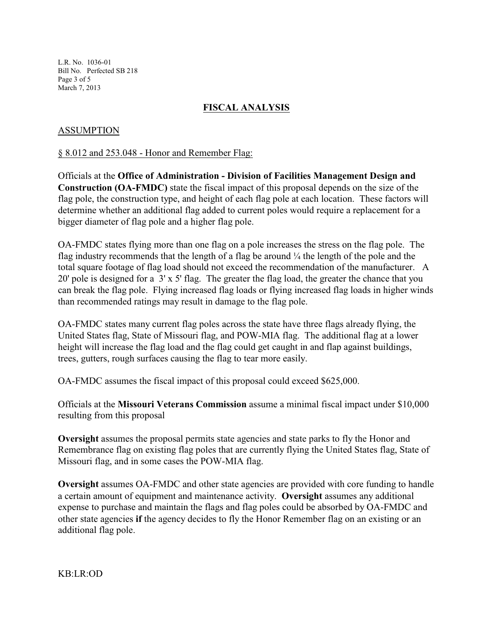L.R. No. 1036-01 Bill No. Perfected SB 218 Page 3 of 5 March 7, 2013

## **FISCAL ANALYSIS**

### ASSUMPTION

#### § 8.012 and 253.048 - Honor and Remember Flag:

Officials at the **Office of Administration - Division of Facilities Management Design and Construction (OA-FMDC)** state the fiscal impact of this proposal depends on the size of the flag pole, the construction type, and height of each flag pole at each location. These factors will determine whether an additional flag added to current poles would require a replacement for a bigger diameter of flag pole and a higher flag pole.

OA-FMDC states flying more than one flag on a pole increases the stress on the flag pole. The flag industry recommends that the length of a flag be around  $\frac{1}{4}$  the length of the pole and the total square footage of flag load should not exceed the recommendation of the manufacturer. A 20' pole is designed for a 3' x 5' flag. The greater the flag load, the greater the chance that you can break the flag pole. Flying increased flag loads or flying increased flag loads in higher winds than recommended ratings may result in damage to the flag pole.

OA-FMDC states many current flag poles across the state have three flags already flying, the United States flag, State of Missouri flag, and POW-MIA flag. The additional flag at a lower height will increase the flag load and the flag could get caught in and flap against buildings, trees, gutters, rough surfaces causing the flag to tear more easily.

OA-FMDC assumes the fiscal impact of this proposal could exceed \$625,000.

Officials at the **Missouri Veterans Commission** assume a minimal fiscal impact under \$10,000 resulting from this proposal

**Oversight** assumes the proposal permits state agencies and state parks to fly the Honor and Remembrance flag on existing flag poles that are currently flying the United States flag, State of Missouri flag, and in some cases the POW-MIA flag.

**Oversight** assumes OA-FMDC and other state agencies are provided with core funding to handle a certain amount of equipment and maintenance activity. **Oversight** assumes any additional expense to purchase and maintain the flags and flag poles could be absorbed by OA-FMDC and other state agencies **if** the agency decides to fly the Honor Remember flag on an existing or an additional flag pole.

KB:LR:OD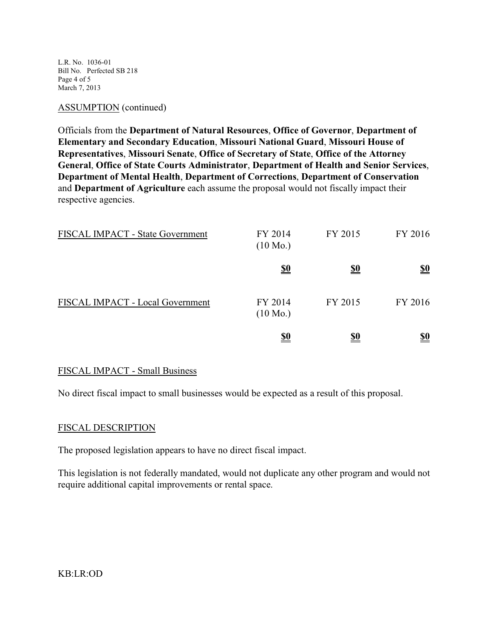L.R. No. 1036-01 Bill No. Perfected SB 218 Page 4 of 5 March 7, 2013

#### ASSUMPTION (continued)

Officials from the **Department of Natural Resources**, **Office of Governor**, **Department of Elementary and Secondary Education**, **Missouri National Guard**, **Missouri House of Representatives**, **Missouri Senate**, **Office of Secretary of State**, **Office of the Attorney General**, **Office of State Courts Administrator**, **Department of Health and Senior Services**, **Department of Mental Health**, **Department of Corrections**, **Department of Conservation** and **Department of Agriculture** each assume the proposal would not fiscally impact their respective agencies.

| FISCAL IMPACT - State Government | FY 2014<br>$(10 \text{ Mo.})$ | FY 2015    | FY 2016                       |
|----------------------------------|-------------------------------|------------|-------------------------------|
|                                  | $\underline{\underline{\$0}}$ | <u>\$0</u> | $\underline{\mathbf{S0}}$     |
| FISCAL IMPACT - Local Government | FY 2014<br>$(10 \text{ Mo.})$ | FY 2015    | FY 2016                       |
|                                  | <u>\$0</u>                    | <u>\$0</u> | $\underline{\underline{\$0}}$ |

### FISCAL IMPACT - Small Business

No direct fiscal impact to small businesses would be expected as a result of this proposal.

### FISCAL DESCRIPTION

The proposed legislation appears to have no direct fiscal impact.

This legislation is not federally mandated, would not duplicate any other program and would not require additional capital improvements or rental space.